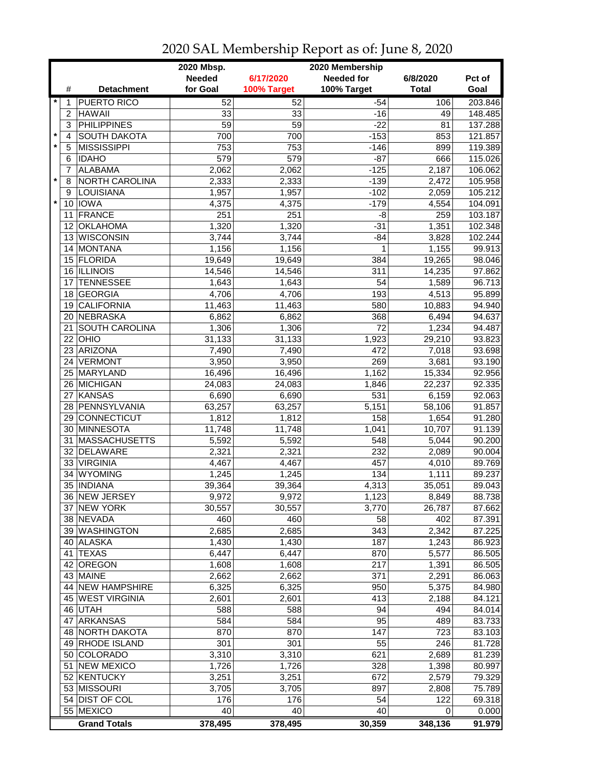|         |                 |                       | 2020 Mbsp.<br>2020 Membership |             |                   |              |         |  |
|---------|-----------------|-----------------------|-------------------------------|-------------|-------------------|--------------|---------|--|
|         |                 |                       | <b>Needed</b>                 | 6/17/2020   | <b>Needed for</b> | 6/8/2020     | Pct of  |  |
|         | #               | <b>Detachment</b>     | for Goal                      | 100% Target | 100% Target       | <b>Total</b> | Goal    |  |
| $\star$ | 1               | <b>PUERTO RICO</b>    | 52                            | 52          | $-54$             | 106          | 203.846 |  |
|         | $\overline{c}$  | <b>HAWAII</b>         | 33                            | 33          | $-16$             | 49           | 148.485 |  |
|         | 3               | <b>PHILIPPINES</b>    | 59                            | 59          | $-22$             | 81           | 137.288 |  |
| $\star$ | $\overline{4}$  | <b>SOUTH DAKOTA</b>   | 700                           | 700         | $-153$            | 853          | 121.857 |  |
| $\star$ | 5               | <b>MISSISSIPPI</b>    | 753                           | 753         | $-146$            | 899          | 119.389 |  |
|         | 6               | <b>IDAHO</b>          | 579                           | 579         | $-87$             | 666          | 115.026 |  |
|         | 7               | <b>ALABAMA</b>        | 2,062                         | 2,062       | $-125$            | 2,187        | 106.062 |  |
| $\star$ | 8               | NORTH CAROLINA        | 2,333                         | 2,333       | $-139$            | 2,472        | 105.958 |  |
|         | 9               | LOUISIANA             | 1,957                         | 1,957       | $-102$            | 2,059        | 105.212 |  |
| $\star$ |                 | 10 IOWA               |                               | 4,375       | $-179$            | 4,554        | 104.091 |  |
|         |                 | FRANCE                | 4,375<br>251                  | 251         | -8                | 259          | 103.187 |  |
|         | 11              |                       |                               |             |                   |              |         |  |
|         | 12 <sup>2</sup> | <b>OKLAHOMA</b>       | 1,320                         | 1,320       | $-31$             | 1,351        | 102.348 |  |
|         | 13              | <b>WISCONSIN</b>      | 3,744                         | 3,744       | $-84$             | 3,828        | 102.244 |  |
|         | 14              | <b>MONTANA</b>        | 1,156                         | 1,156       | 1                 | 1,155        | 99.913  |  |
|         |                 | 15 FLORIDA            | 19,649                        | 19,649      | 384               | 19,265       | 98.046  |  |
|         |                 | 16 ILLINOIS           | 14,546                        | 14,546      | 311               | 14,235       | 97.862  |  |
|         | 17              | <b>TENNESSEE</b>      | 1,643                         | 1,643       | 54                | 1,589        | 96.713  |  |
|         | 18              | <b>GEORGIA</b>        | 4,706                         | 4,706       | 193               | 4,513        | 95.899  |  |
|         | 19              | <b>CALIFORNIA</b>     | 11,463                        | 11,463      | 580               | 10,883       | 94.940  |  |
|         | 20              | <b>NEBRASKA</b>       | 6,862                         | 6,862       | 368               | 6,494        | 94.637  |  |
|         | 21              | <b>SOUTH CAROLINA</b> | 1,306                         | 1,306       | $\overline{72}$   | 1,234        | 94.487  |  |
|         | 22              | <b>OHIO</b>           | 31,133                        | 31,133      | 1,923             | 29,210       | 93.823  |  |
|         |                 | 23 ARIZONA            | 7,490                         | 7,490       | 472               | 7,018        | 93.698  |  |
|         | 24              | VERMONT               | 3,950                         | 3,950       | 269               | 3,681        | 93.190  |  |
|         |                 | 25 MARYLAND           | 16,496                        | 16,496      | 1,162             | 15,334       | 92.956  |  |
|         |                 | 26 MICHIGAN           | 24,083                        | 24,083      | 1,846             | 22,237       | 92.335  |  |
|         | 27              | <b>KANSAS</b>         | 6,690                         | 6,690       | 531               | 6,159        | 92.063  |  |
|         |                 | 28 PENNSYLVANIA       | 63,257                        | 63,257      | 5,151             | 58,106       | 91.857  |  |
|         | 29              | CONNECTICUT           | 1,812                         | 1,812       | 158               | 1,654        | 91.280  |  |
|         | 30              | MINNESOTA             | 11,748                        | 11,748      | 1,041             | 10,707       | 91.139  |  |
|         | 31              | <b>MASSACHUSETTS</b>  | 5,592                         | 5,592       | 548               | 5,044        | 90.200  |  |
|         | 32              | <b>DELAWARE</b>       | 2,321                         | 2,321       | 232               | 2,089        | 90.004  |  |
|         | 33              | <b>VIRGINIA</b>       | 4,467                         | 4,467       | 457               | 4,010        | 89.769  |  |
|         | 34              | <b>WYOMING</b>        | 1,245                         | 1,245       | 134               | 1,111        | 89.237  |  |
|         |                 | 35 INDIANA            | 39,364                        | 39,364      | 4,313             | 35,051       | 89.043  |  |
|         |                 | 36 NEW JERSEY         | 9,972                         | 9,972       | 1,123             | 8,849        | 88.738  |  |
|         |                 | 37 NEW YORK           | 30,557                        | 30,557      | 3,770             | 26,787       | 87.662  |  |
|         |                 | 38 NEVADA             | 460                           | 460         | 58                | 402          | 87.391  |  |
|         |                 | 39 WASHINGTON         | 2,685                         | 2,685       | 343               | 2,342        | 87.225  |  |
|         |                 | 40 ALASKA             | 1,430                         | 1,430       | 187               | 1,243        | 86.923  |  |
|         |                 | 41 TEXAS              | 6,447                         | 6,447       | 870               | 5,577        | 86.505  |  |
|         | 42              | <b>OREGON</b>         | 1,608                         | 1,608       | 217               | 1,391        | 86.505  |  |
|         |                 | 43 MAINE              | 2,662                         | 2,662       | 371               | 2,291        | 86.063  |  |
|         |                 | 44 NEW HAMPSHIRE      | 6,325                         | 6,325       | 950               | 5,375        | 84.980  |  |
|         |                 | 45 WEST VIRGINIA      | 2,601                         | 2,601       | 413               | 2,188        | 84.121  |  |
|         |                 | 46 UTAH               | 588                           | 588         | 94                | 494          | 84.014  |  |
|         | 47              | <b>ARKANSAS</b>       | 584                           | 584         | 95                | 489          | 83.733  |  |
|         |                 | 48 NORTH DAKOTA       | 870                           | 870         | 147               | 723          | 83.103  |  |
|         |                 | 49 RHODE ISLAND       | 301                           | 301         | 55                | 246          | 81.728  |  |
|         |                 | 50 COLORADO           | 3,310                         | 3,310       | 621               | 2,689        | 81.239  |  |
|         | 51              | <b>NEW MEXICO</b>     | 1,726                         | 1,726       | 328               | 1,398        | 80.997  |  |
|         |                 | 52 KENTUCKY           | 3,251                         | 3,251       | 672               | 2,579        | 79.329  |  |
|         |                 |                       |                               |             | 897               |              |         |  |
|         |                 | 53 MISSOURI           | 3,705                         | 3,705       |                   | 2,808        | 75.789  |  |
|         |                 | 54 DIST OF COL        | 176<br>40                     | 176<br>40   | 54<br>40          | 122          | 69.318  |  |
|         |                 | 55 MEXICO             |                               |             |                   | 0            | 0.000   |  |
|         |                 | <b>Grand Totals</b>   | 378,495                       | 378,495     | 30,359            | 348,136      | 91.979  |  |

## 2020 SAL Membership Report as of: June 8, 2020